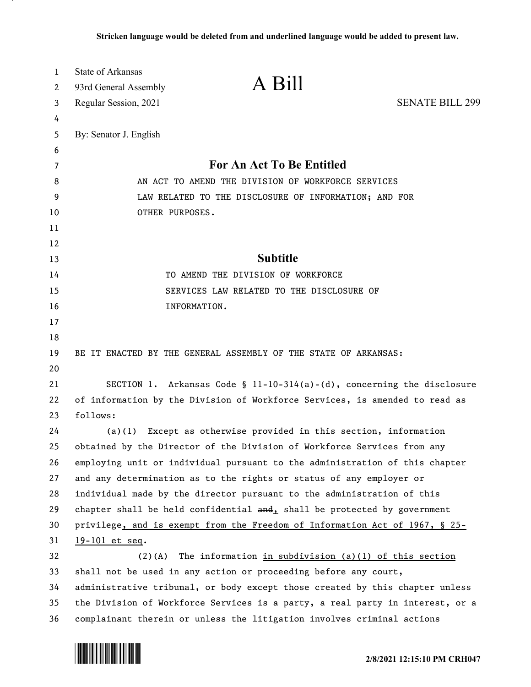| 1        | <b>State of Arkansas</b> | A Bill                                                                              |                        |
|----------|--------------------------|-------------------------------------------------------------------------------------|------------------------|
| 2        | 93rd General Assembly    |                                                                                     |                        |
| 3        | Regular Session, 2021    |                                                                                     | <b>SENATE BILL 299</b> |
| 4        |                          |                                                                                     |                        |
| 5        | By: Senator J. English   |                                                                                     |                        |
| 6        |                          |                                                                                     |                        |
| 7        |                          | For An Act To Be Entitled                                                           |                        |
| 8        |                          | AN ACT TO AMEND THE DIVISION OF WORKFORCE SERVICES                                  |                        |
| 9        |                          | LAW RELATED TO THE DISCLOSURE OF INFORMATION; AND FOR                               |                        |
| 10       | OTHER PURPOSES.          |                                                                                     |                        |
| 11       |                          |                                                                                     |                        |
| 12<br>13 |                          | <b>Subtitle</b>                                                                     |                        |
| 14       |                          | TO AMEND THE DIVISION OF WORKFORCE                                                  |                        |
| 15       |                          | SERVICES LAW RELATED TO THE DISCLOSURE OF                                           |                        |
| 16       |                          | INFORMATION.                                                                        |                        |
| 17       |                          |                                                                                     |                        |
| 18       |                          |                                                                                     |                        |
| 19       |                          | BE IT ENACTED BY THE GENERAL ASSEMBLY OF THE STATE OF ARKANSAS:                     |                        |
| 20       |                          |                                                                                     |                        |
| 21       |                          | SECTION 1. Arkansas Code § $11-10-314(a)-(d)$ , concerning the disclosure           |                        |
| 22       |                          | of information by the Division of Workforce Services, is amended to read as         |                        |
| 23       | follows:                 |                                                                                     |                        |
| 24       | (a)(1)                   | Except as otherwise provided in this section, information                           |                        |
| 25       |                          | obtained by the Director of the Division of Workforce Services from any             |                        |
| 26       |                          | employing unit or individual pursuant to the administration of this chapter         |                        |
| 27       |                          | and any determination as to the rights or status of any employer or                 |                        |
| 28       |                          | individual made by the director pursuant to the administration of this              |                        |
| 29       |                          | chapter shall be held confidential $\frac{and}{b}$ shall be protected by government |                        |
| 30       |                          | privilege, and is exempt from the Freedom of Information Act of 1967, § 25-         |                        |
| 31       | 19-101 et seq.           |                                                                                     |                        |
| 32       | $(2)$ (A)                | The information in subdivision $(a)(1)$ of this section                             |                        |
| 33       |                          | shall not be used in any action or proceeding before any court,                     |                        |
| 34       |                          | administrative tribunal, or body except those created by this chapter unless        |                        |
| 35       |                          | the Division of Workforce Services is a party, a real party in interest, or a       |                        |
| 36       |                          | complainant therein or unless the litigation involves criminal actions              |                        |

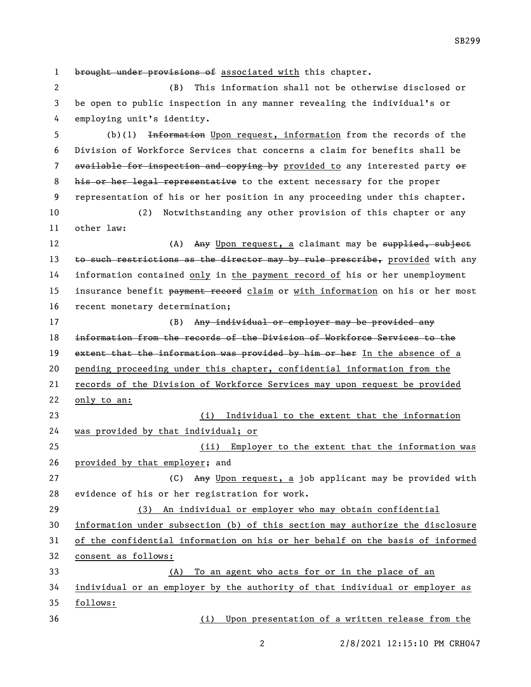1 brought under provisions of associated with this chapter. (B) This information shall not be otherwise disclosed or be open to public inspection in any manner revealing the individual's or employing unit's identity. (b)(1) Information Upon request, information from the records of the Division of Workforce Services that concerns a claim for benefits shall be 7 available for inspection and copying by provided to any interested party or 8 his or her legal representative to the extent necessary for the proper representation of his or her position in any proceeding under this chapter. (2) Notwithstanding any other provision of this chapter or any other law: 12 (A) Any Upon request, a claimant may be supplied, subject 13 to such restrictions as the director may by rule prescribe, provided with any information contained only in the payment record of his or her unemployment 15 insurance benefit payment record claim or with information on his or her most recent monetary determination; 17 (B) Any individual or employer may be provided any information from the records of the Division of Workforce Services to the 19 extent that the information was provided by him or her In the absence of a 20 pending proceeding under this chapter, confidential information from the records of the Division of Workforce Services may upon request be provided only to an: (i) Individual to the extent that the information was provided by that individual; or (ii) Employer to the extent that the information was provided by that employer; and 27 (C) Any Upon request, a job applicant may be provided with evidence of his or her registration for work. (3) An individual or employer who may obtain confidential information under subsection (b) of this section may authorize the disclosure of the confidential information on his or her behalf on the basis of informed consent as follows: (A) To an agent who acts for or in the place of an individual or an employer by the authority of that individual or employer as follows: (i) Upon presentation of a written release from the

2/8/2021 12:15:10 PM CRH047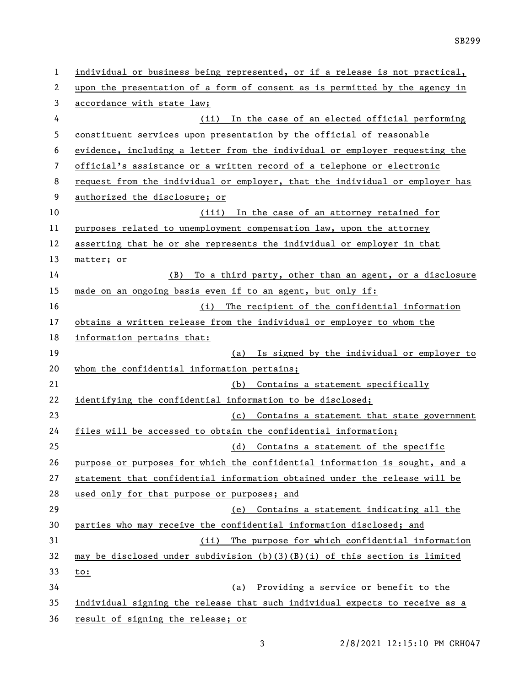| 1  | individual or business being represented, or if a release is not practical,  |  |
|----|------------------------------------------------------------------------------|--|
| 2  | upon the presentation of a form of consent as is permitted by the agency in  |  |
| 3  | accordance with state law;                                                   |  |
| 4  | (ii) In the case of an elected official performing                           |  |
| 5  | constituent services upon presentation by the official of reasonable         |  |
| 6  | evidence, including a letter from the individual or employer requesting the  |  |
| 7  | official's assistance or a written record of a telephone or electronic       |  |
| 8  | request from the individual or employer, that the individual or employer has |  |
| 9  | authorized the disclosure; or                                                |  |
| 10 | (iii) In the case of an attorney retained for                                |  |
| 11 | purposes related to unemployment compensation law, upon the attorney         |  |
| 12 | asserting that he or she represents the individual or employer in that       |  |
| 13 | matter; or                                                                   |  |
| 14 | To a third party, other than an agent, or a disclosure<br>(B)                |  |
| 15 | made on an ongoing basis even if to an agent, but only if:                   |  |
| 16 | The recipient of the confidential information<br>(i)                         |  |
| 17 | obtains a written release from the individual or employer to whom the        |  |
| 18 | information pertains that:                                                   |  |
| 19 | (a) Is signed by the individual or employer to                               |  |
| 20 | whom the confidential information pertains;                                  |  |
| 21 | (b) Contains a statement specifically                                        |  |
| 22 | identifying the confidential information to be disclosed;                    |  |
| 23 | (c) Contains a statement that state government                               |  |
| 24 | files will be accessed to obtain the confidential information;               |  |
| 25 | (d) Contains a statement of the specific                                     |  |
| 26 | purpose or purposes for which the confidential information is sought, and a  |  |
| 27 | statement that confidential information obtained under the release will be   |  |
| 28 | used only for that purpose or purposes; and                                  |  |
| 29 | (e) Contains a statement indicating all the                                  |  |
| 30 | parties who may receive the confidential information disclosed; and          |  |
| 31 | (ii) The purpose for which confidential information                          |  |
| 32 | may be disclosed under subdivision (b)(3)(B)(i) of this section is limited   |  |
| 33 | <u>to:</u>                                                                   |  |
| 34 | (a) Providing a service or benefit to the                                    |  |
| 35 | individual signing the release that such individual expects to receive as a  |  |
| 36 | result of signing the release; or                                            |  |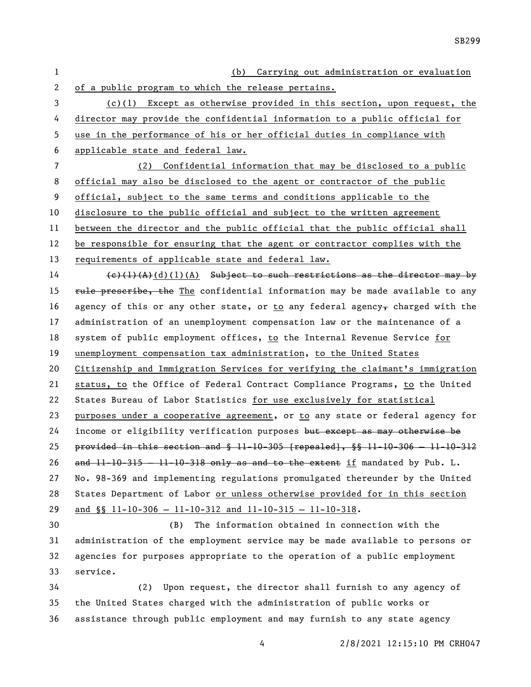| 1              | (b) Carrying out administration or evaluation                                                        |  |
|----------------|------------------------------------------------------------------------------------------------------|--|
| $\mathbf{2}$   | of a public program to which the release pertains.                                                   |  |
| 3              | $(c)(1)$ Except as otherwise provided in this section, upon request, the                             |  |
| 4              | director may provide the confidential information to a public official for                           |  |
| 5              | use in the performance of his or her official duties in compliance with                              |  |
| 6              | applicable state and federal law.                                                                    |  |
| $\overline{7}$ | Confidential information that may be disclosed to a public<br>(2)                                    |  |
| 8              | official may also be disclosed to the agent or contractor of the public                              |  |
| 9              | official, subject to the same terms and conditions applicable to the                                 |  |
| 10             | disclosure to the public official and subject to the written agreement                               |  |
| 11             | between the director and the public official that the public official shall                          |  |
| 12             | be responsible for ensuring that the agent or contractor complies with the                           |  |
| 13             | requirements of applicable state and federal law.                                                    |  |
| 14             | $(e)$ (1)(A)(d)(1)(A) Subject to such restrictions as the director may by                            |  |
| 15             | rule preseribe, the The confidential information may be made available to any                        |  |
| 16             | agency of this or any other state, or to any federal agency, charged with the                        |  |
| 17             | administration of an unemployment compensation law or the maintenance of a                           |  |
| 18             | system of public employment offices, to the Internal Revenue Service for                             |  |
| 19             | unemployment compensation tax administration, to the United States                                   |  |
| 20             | Citizenship and Immigration Services for verifying the claimant's immigration                        |  |
| 21             | status, to the Office of Federal Contract Compliance Programs, to the United                         |  |
| 22             | States Bureau of Labor Statistics for use exclusively for statistical                                |  |
| 23             | purposes under a cooperative agreement, or to any state or federal agency for                        |  |
| 24             | income or eligibility verification purposes but except as may otherwise be                           |  |
| 25             | provided in this section and $\frac{6}{9}$ 11-10-305 [repealed], $\frac{6}{9}$ 11-10-306 - 11-10-312 |  |
| 26             | and $11-10-315 - 11-10-318$ only as and to the extent if mandated by Pub. L.                         |  |
| 27             | No. 98-369 and implementing regulations promulgated thereunder by the United                         |  |
| 28             | States Department of Labor or unless otherwise provided for in this section                          |  |
| 29             | and $\S$ 11-10-306 - 11-10-312 and 11-10-315 - 11-10-318.                                            |  |
| 30             | (B)<br>The information obtained in connection with the                                               |  |
| 31             | administration of the employment service may be made available to persons or                         |  |
| 32             | agencies for purposes appropriate to the operation of a public employment                            |  |
| 33             | service.                                                                                             |  |
| 34             | Upon request, the director shall furnish to any agency of<br>(2)                                     |  |
| 35             | the United States charged with the administration of public works or                                 |  |
| 36             | assistance through public employment and may furnish to any state agency                             |  |

2/8/2021 12:15:10 PM CRH047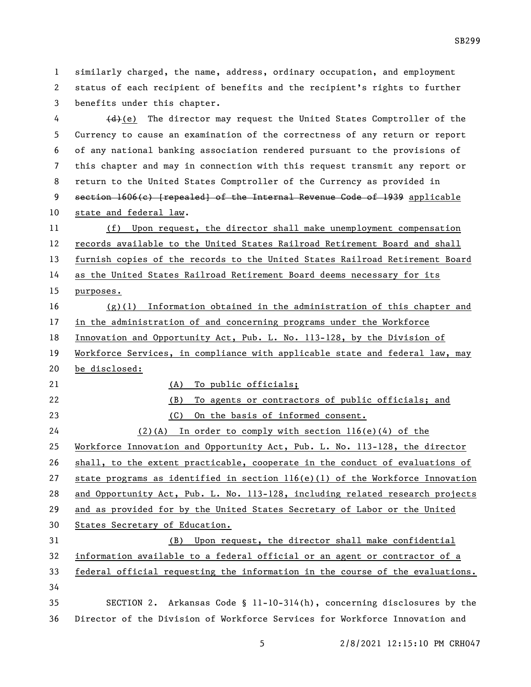similarly charged, the name, address, ordinary occupation, and employment status of each recipient of benefits and the recipient's rights to further benefits under this chapter.

 (d)(e) The director may request the United States Comptroller of the Currency to cause an examination of the correctness of any return or report of any national banking association rendered pursuant to the provisions of this chapter and may in connection with this request transmit any report or return to the United States Comptroller of the Currency as provided in section 1606(c) [repealed] of the Internal Revenue Code of 1939 applicable state and federal law.

 (f) Upon request, the director shall make unemployment compensation records available to the United States Railroad Retirement Board and shall furnish copies of the records to the United States Railroad Retirement Board 14 as the United States Railroad Retirement Board deems necessary for its purposes. (g)(1) Information obtained in the administration of this chapter and in the administration of and concerning programs under the Workforce

 Innovation and Opportunity Act, Pub. L. No. 113-128, by the Division of Workforce Services, in compliance with applicable state and federal law, may be disclosed:

21 (A) To public officials;

 (B) To agents or contractors of public officials; and (C) On the basis of informed consent. (2)(A) In order to comply with section 116(e)(4) of the Workforce Innovation and Opportunity Act, Pub. L. No. 113-128, the director shall, to the extent practicable, cooperate in the conduct of evaluations of 27 state programs as identified in section  $116(e)(1)$  of the Workforce Innovation and Opportunity Act, Pub. L. No. 113-128, including related research projects and as provided for by the United States Secretary of Labor or the United States Secretary of Education. (B) Upon request, the director shall make confidential information available to a federal official or an agent or contractor of a federal official requesting the information in the course of the evaluations. 

 SECTION 2. Arkansas Code § 11-10-314(h), concerning disclosures by the Director of the Division of Workforce Services for Workforce Innovation and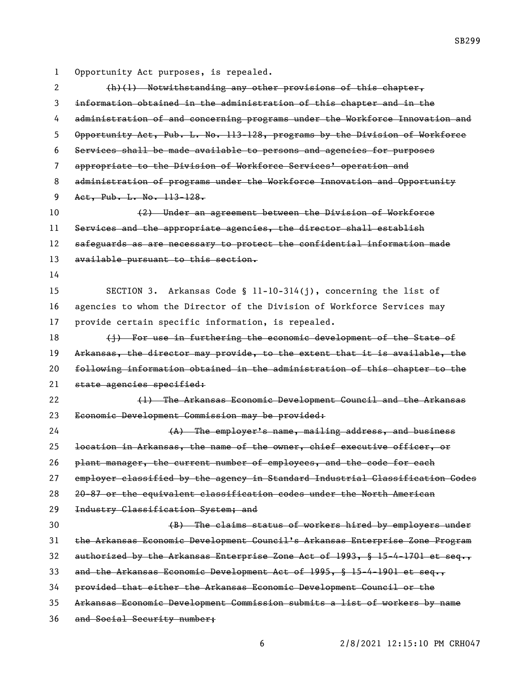Opportunity Act purposes, is repealed. (h)(1) Notwithstanding any other provisions of this chapter, information obtained in the administration of this chapter and in the administration of and concerning programs under the Workforce Innovation and Opportunity Act, Pub. L. No. 113-128, programs by the Division of Workforce Services shall be made available to persons and agencies for purposes appropriate to the Division of Workforce Services' operation and administration of programs under the Workforce Innovation and Opportunity Act, Pub. L. No. 113-128. (2) Under an agreement between the Division of Workforce Services and the appropriate agencies, the director shall establish safeguards as are necessary to protect the confidential information made 13 available pursuant to this section. SECTION 3. Arkansas Code § 11-10-314(j), concerning the list of agencies to whom the Director of the Division of Workforce Services may provide certain specific information, is repealed. 18 (i) For use in furthering the economic development of the State of Arkansas, the director may provide, to the extent that it is available, the following information obtained in the administration of this chapter to the 21 state agencies specified: (1) The Arkansas Economic Development Council and the Arkansas Economic Development Commission may be provided: 24 (A) The employer's name, mailing address, and business location in Arkansas, the name of the owner, chief executive officer, or plant manager, the current number of employees, and the code for each employer classified by the agency in Standard Industrial Classification Codes 20-87 or the equivalent classification codes under the North American 29 Industry Classification System; and (B) The claims status of workers hired by employers under the Arkansas Economic Development Council's Arkansas Enterprise Zone Program authorized by the Arkansas Enterprise Zone Act of 1993, § 15-4-1701 et seq., and the Arkansas Economic Development Act of 1995, § 15-4-1901 et seq., provided that either the Arkansas Economic Development Council or the Arkansas Economic Development Commission submits a list of workers by name and Social Security number;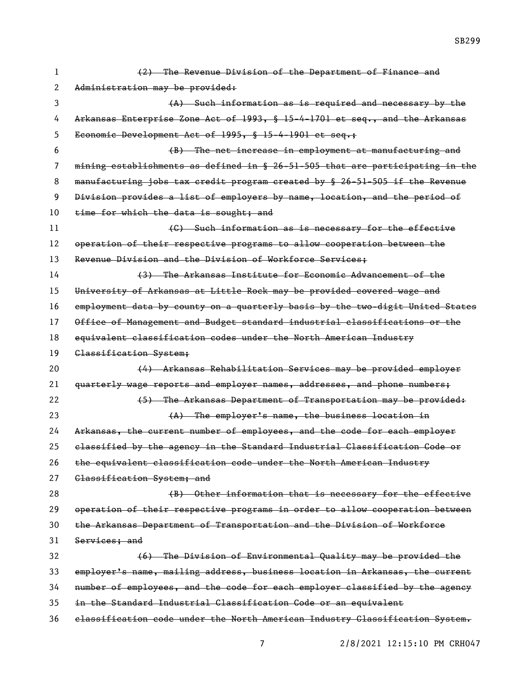| 1  | (2) The Revenue Division of the Department of Finance and                     |
|----|-------------------------------------------------------------------------------|
| 2  | Administration may be provided:                                               |
| 3  | (A) Such information as is required and necessary by the                      |
| 4  | Arkansas Enterprise Zone Act of 1993, § 15-4-1701 et seq., and the Arkansas   |
| 5  | Economic Development Act of 1995, § 15-4-1901 et seq.;                        |
| 6  | (B) The net increase in employment at manufacturing and                       |
| 7  | mining establishments as defined in § 26-51-505 that are participating in the |
| 8  | manufacturing jobs tax credit program created by § 26-51-505 if the Revenue   |
| 9  | Division provides a list of employers by name, location, and the period of    |
| 10 | time for which the data is sought; and                                        |
| 11 | (C) Such information as is necessary for the effective                        |
| 12 | operation of their respective programs to allow cooperation between the       |
| 13 | Revenue Division and the Division of Workforce Services,                      |
| 14 | (3) The Arkansas Institute for Economic Advancement of the                    |
| 15 | University of Arkansas at Little Rock may be provided covered wage and        |
| 16 | employment data by county on a quarterly basis by the two-digit United States |
| 17 | Office of Management and Budget standard industrial classifications or the    |
| 18 | equivalent classification codes under the North American Industry             |
| 19 | Classification System;                                                        |
| 20 | (4) Arkansas Rehabilitation Services may be provided employer                 |
| 21 | quarterly wage reports and employer names, addresses, and phone numbers;      |
| 22 | (5) The Arkansas Department of Transportation may be provided:                |
| 23 | (A) The employer's name, the business location in                             |
| 24 | Arkansas, the current number of employees, and the code for each employer     |
| 25 | elassified by the agency in the Standard Industrial Classification Code or    |
| 26 | the equivalent classification code under the North American Industry          |
| 27 | Classification System; and                                                    |
| 28 | (B) Other information that is necessary for the effective                     |
| 29 |                                                                               |
|    | operation of their respective programs in order to allow cooperation between  |
| 30 | the Arkansas Department of Transportation and the Division of Workforce       |
| 31 | Services; and                                                                 |
| 32 | (6) The Division of Environmental Quality may be provided the                 |
| 33 | employer's name, mailing address, business location in Arkansas, the current  |
| 34 | number of employees, and the code for each employer classified by the agency  |
| 35 | in the Standard Industrial Classification Code or an equivalent               |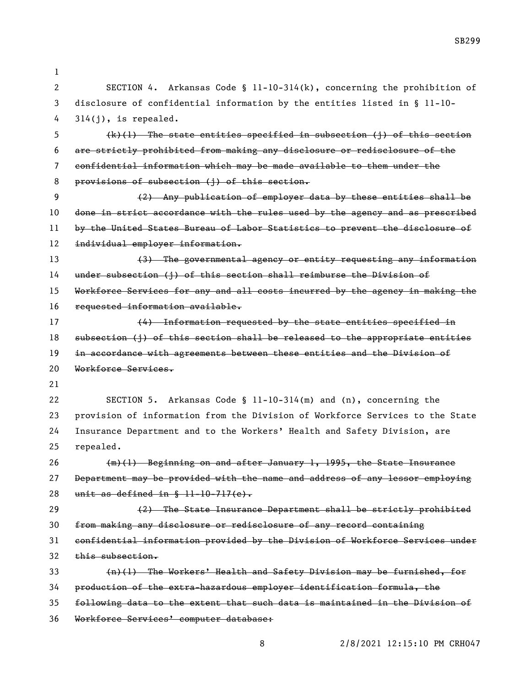| 1  |                                                                               |
|----|-------------------------------------------------------------------------------|
| 2  | SECTION 4. Arkansas Code § 11-10-314(k), concerning the prohibition of        |
| 3  | disclosure of confidential information by the entities listed in $\S$ 11-10-  |
| 4  | $314(j)$ , is repealed.                                                       |
| 5  | $(k)(1)$ The state entities specified in subsection (j) of this section       |
| 6  | are strictly prohibited from making any disclosure or redisclosure of the     |
| 7  | confidential information which may be made available to them under the        |
| 8  | provisions of subsection (j) of this section.                                 |
| 9  | (2) Any publication of employer data by these entities shall be               |
| 10 | done in strict accordance with the rules used by the agency and as prescribed |
| 11 | by the United States Bureau of Labor Statisties to prevent the disclosure of  |
| 12 | individual employer information.                                              |
| 13 | (3) The governmental agency or entity requesting any information              |
| 14 | under subsection (j) of this section shall reimburse the Division of          |
| 15 | Workforce Services for any and all costs incurred by the agency in making the |
| 16 | requested information available.                                              |
| 17 | (4) Information requested by the state entities specified in                  |
| 18 | subsection (j) of this section shall be released to the appropriate entities  |
| 19 | in accordance with agreements between these entities and the Division of      |
| 20 | Workforce Services.                                                           |
| 21 |                                                                               |
| 22 | SECTION 5. Arkansas Code § $11-10-314(m)$ and (n), concerning the             |
| 23 | provision of information from the Division of Workforce Services to the State |
| 24 | Insurance Department and to the Workers' Health and Safety Division, are      |
| 25 | repealed.                                                                     |
| 26 | (m)(1) Beginning on and after January 1, 1995, the State Insurance            |
| 27 | Department may be provided with the name and address of any lessor employing  |
| 28 | unit as defined in $\frac{11-10-717(e)}{11-10}$ .                             |
| 29 | (2) The State Insurance Department shall be strictly prohibited               |
| 30 | from making any disclosure or redisclosure of any record containing           |
| 31 | confidential information provided by the Division of Workforce Services under |
| 32 | this subsection.                                                              |
| 33 | (n)(1) The Workers' Health and Safety Division may be furnished, for          |
| 34 | production of the extra-hazardous employer identification formula, the        |
| 35 | following data to the extent that such data is maintained in the Division of  |
| 36 | Workforce Services' computer database:                                        |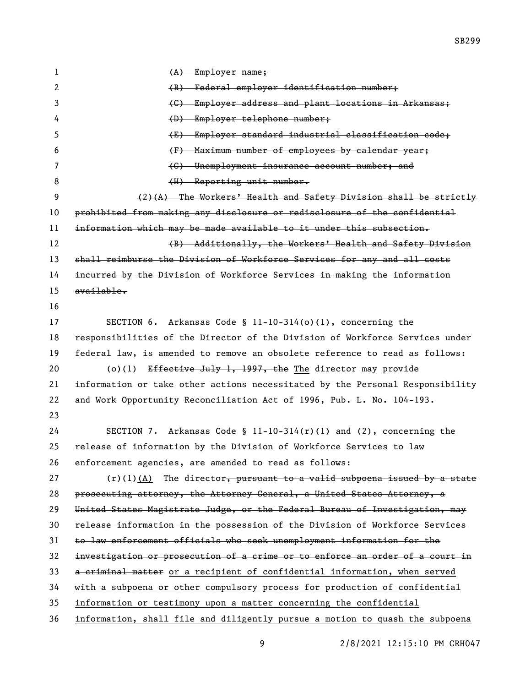1 (A) Employer name; 2 (B) Federal employer identification number; (C) Employer address and plant locations in Arkansas; (D) Employer telephone number; (E) Employer standard industrial classification code; (F) Maximum number of employees by calendar year; (G) Unemployment insurance account number; and 8 (H) Reporting unit number. (2)(A) The Workers' Health and Safety Division shall be strictly prohibited from making any disclosure or redisclosure of the confidential information which may be made available to it under this subsection. 12 (B) Additionally, the Workers' Health and Safety Division shall reimburse the Division of Workforce Services for any and all costs incurred by the Division of Workforce Services in making the information available. SECTION 6. Arkansas Code § 11-10-314(o)(1), concerning the responsibilities of the Director of the Division of Workforce Services under federal law, is amended to remove an obsolete reference to read as follows: 20 (o)(1) Effective July 1, 1997, the The director may provide information or take other actions necessitated by the Personal Responsibility and Work Opportunity Reconciliation Act of 1996, Pub. L. No. 104-193. SECTION 7. Arkansas Code § 11-10-314(r)(1) and (2), concerning the release of information by the Division of Workforce Services to law enforcement agencies, are amended to read as follows:  $(r)(1)(A)$  The director, pursuant to a valid subpoena issued by a state prosecuting attorney, the Attorney General, a United States Attorney, a United States Magistrate Judge, or the Federal Bureau of Investigation, may release information in the possession of the Division of Workforce Services to law enforcement officials who seek unemployment information for the investigation or prosecution of a crime or to enforce an order of a court in a criminal matter or a recipient of confidential information, when served with a subpoena or other compulsory process for production of confidential information or testimony upon a matter concerning the confidential information, shall file and diligently pursue a motion to quash the subpoena

2/8/2021 12:15:10 PM CRH047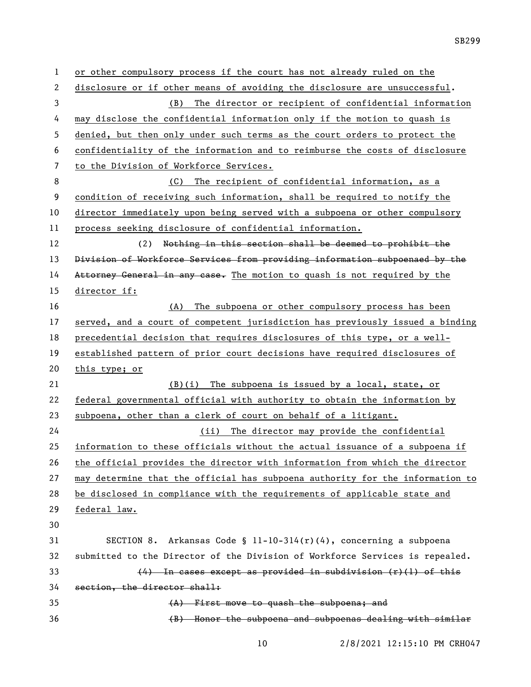or other compulsory process if the court has not already ruled on the disclosure or if other means of avoiding the disclosure are unsuccessful. (B) The director or recipient of confidential information may disclose the confidential information only if the motion to quash is denied, but then only under such terms as the court orders to protect the confidentiality of the information and to reimburse the costs of disclosure to the Division of Workforce Services. (C) The recipient of confidential information, as a condition of receiving such information, shall be required to notify the director immediately upon being served with a subpoena or other compulsory process seeking disclosure of confidential information. (2) Nothing in this section shall be deemed to prohibit the Division of Workforce Services from providing information subpoenaed by the 14 Attorney General in any case. The motion to quash is not required by the director if: (A) The subpoena or other compulsory process has been served, and a court of competent jurisdiction has previously issued a binding precedential decision that requires disclosures of this type, or a well- established pattern of prior court decisions have required disclosures of this type; or (B)(i) The subpoena is issued by a local, state, or federal governmental official with authority to obtain the information by subpoena, other than a clerk of court on behalf of a litigant. (ii) The director may provide the confidential information to these officials without the actual issuance of a subpoena if the official provides the director with information from which the director may determine that the official has subpoena authority for the information to be disclosed in compliance with the requirements of applicable state and federal law. 31 SECTION 8. Arkansas Code §  $11-10-314(r)(4)$ , concerning a subpoena submitted to the Director of the Division of Workforce Services is repealed.  $(4)$  In cases except as provided in subdivision  $(r)(1)$  of this section, the director shall: (A) First move to quash the subpoena; and (B) Honor the subpoena and subpoenas dealing with similar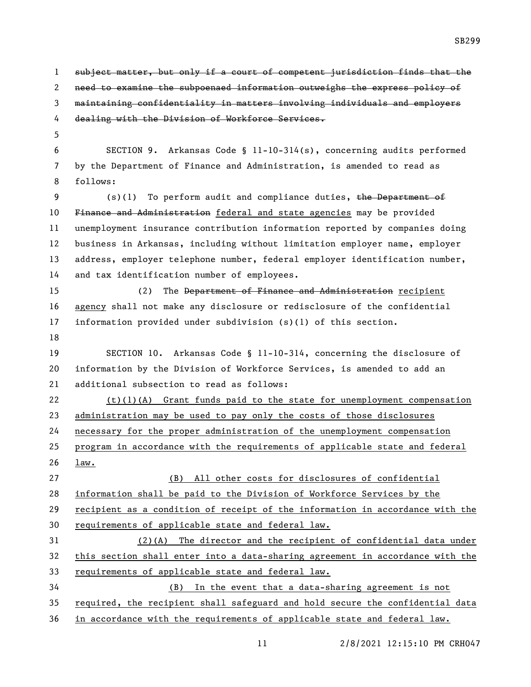1 subject matter, but only if a court of competent jurisdiction finds that the need to examine the subpoenaed information outweighs the express policy of maintaining confidentiality in matters involving individuals and employers 4 dealing with the Division of Workforce Services. SECTION 9. Arkansas Code § 11-10-314(s), concerning audits performed by the Department of Finance and Administration, is amended to read as follows: 9 (s)(1) To perform audit and compliance duties, the Department of 10 Finance and Administration federal and state agencies may be provided unemployment insurance contribution information reported by companies doing business in Arkansas, including without limitation employer name, employer address, employer telephone number, federal employer identification number, and tax identification number of employees. (2) The Department of Finance and Administration recipient agency shall not make any disclosure or redisclosure of the confidential information provided under subdivision (s)(1) of this section. SECTION 10. Arkansas Code § 11-10-314, concerning the disclosure of information by the Division of Workforce Services, is amended to add an additional subsection to read as follows: (t)(1)(A) Grant funds paid to the state for unemployment compensation administration may be used to pay only the costs of those disclosures necessary for the proper administration of the unemployment compensation program in accordance with the requirements of applicable state and federal law. (B) All other costs for disclosures of confidential information shall be paid to the Division of Workforce Services by the recipient as a condition of receipt of the information in accordance with the 30 requirements of applicable state and federal law. (2)(A) The director and the recipient of confidential data under this section shall enter into a data-sharing agreement in accordance with the requirements of applicable state and federal law. (B) In the event that a data-sharing agreement is not required, the recipient shall safeguard and hold secure the confidential data in accordance with the requirements of applicable state and federal law.